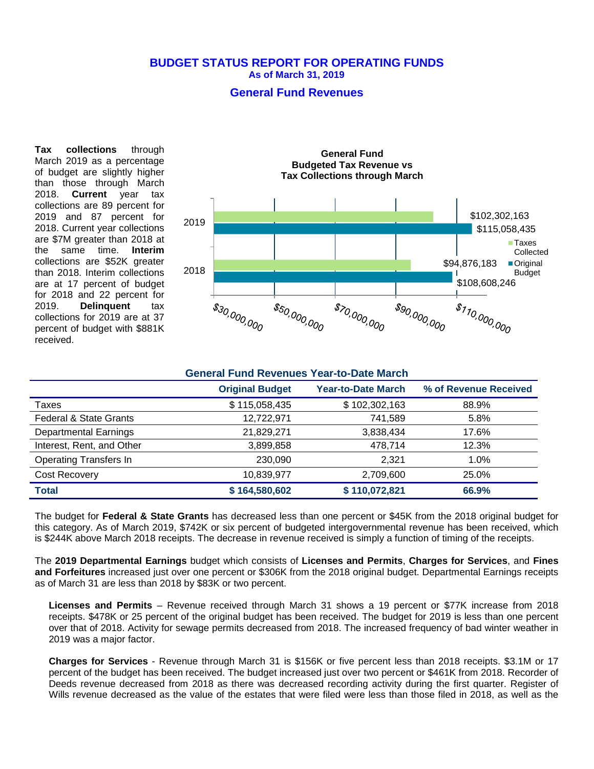### **BUDGET STATUS REPORT FOR OPERATING FUNDS As of March 31, 2019**

## **General Fund Revenues**

**Tax collections** through March 2019 as a percentage of budget are slightly higher than those through March 2018. **Current** year tax collections are 89 percent for 2019 and 87 percent for 2018. Current year collections are \$7M greater than 2018 at<br>the same time. **Interim** the same time. collections are \$52K greater than 2018. Interim collections are at 17 percent of budget for 2018 and 22 percent for 2019. **Delinquent** tax collections for 2019 are at 37 percent of budget with \$881K received.



### **General Fund Revenues Year-to-Date March**

|                                   | <b>Original Budget</b> | <b>Year-to-Date March</b> | % of Revenue Received |
|-----------------------------------|------------------------|---------------------------|-----------------------|
| Taxes                             | \$115,058,435          | \$102,302,163             | 88.9%                 |
| <b>Federal &amp; State Grants</b> | 12,722,971             | 741,589                   | 5.8%                  |
| <b>Departmental Earnings</b>      | 21,829,271             | 3,838,434                 | 17.6%                 |
| Interest, Rent, and Other         | 3,899,858              | 478,714                   | 12.3%                 |
| <b>Operating Transfers In</b>     | 230.090                | 2.321                     | 1.0%                  |
| Cost Recovery                     | 10.839.977             | 2,709,600                 | 25.0%                 |
| <b>Total</b>                      | \$164,580,602          | \$110,072,821             | 66.9%                 |

The budget for **Federal & State Grants** has decreased less than one percent or \$45K from the 2018 original budget for this category. As of March 2019, \$742K or six percent of budgeted intergovernmental revenue has been received, which is \$244K above March 2018 receipts. The decrease in revenue received is simply a function of timing of the receipts.

The **2019 Departmental Earnings** budget which consists of **Licenses and Permits**, **Charges for Services**, and **Fines and Forfeitures** increased just over one percent or \$306K from the 2018 original budget. Departmental Earnings receipts as of March 31 are less than 2018 by \$83K or two percent.

**Licenses and Permits** – Revenue received through March 31 shows a 19 percent or \$77K increase from 2018 receipts. \$478K or 25 percent of the original budget has been received. The budget for 2019 is less than one percent over that of 2018. Activity for sewage permits decreased from 2018. The increased frequency of bad winter weather in 2019 was a major factor.

**Charges for Services** - Revenue through March 31 is \$156K or five percent less than 2018 receipts. \$3.1M or 17 percent of the budget has been received. The budget increased just over two percent or \$461K from 2018. Recorder of Deeds revenue decreased from 2018 as there was decreased recording activity during the first quarter. Register of Wills revenue decreased as the value of the estates that were filed were less than those filed in 2018, as well as the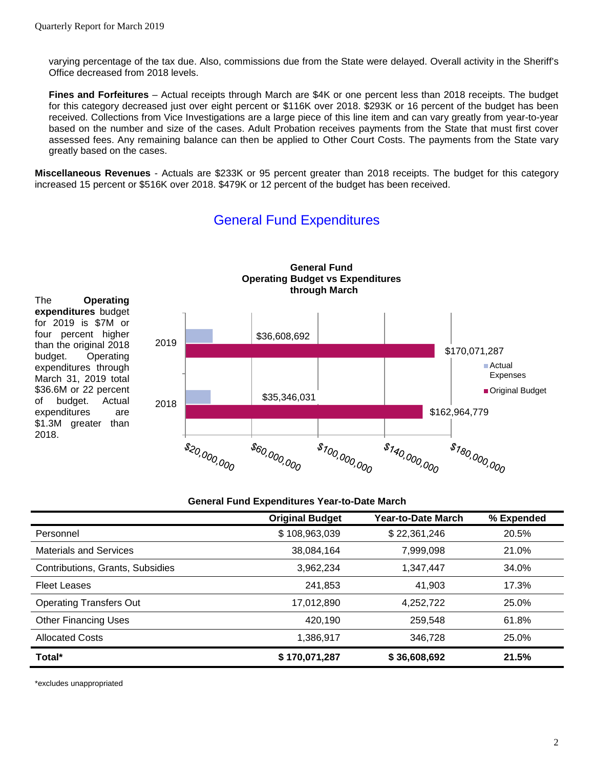varying percentage of the tax due. Also, commissions due from the State were delayed. Overall activity in the Sheriff's Office decreased from 2018 levels.

**Fines and Forfeitures** – Actual receipts through March are \$4K or one percent less than 2018 receipts. The budget for this category decreased just over eight percent or \$116K over 2018. \$293K or 16 percent of the budget has been received. Collections from Vice Investigations are a large piece of this line item and can vary greatly from year-to-year based on the number and size of the cases. Adult Probation receives payments from the State that must first cover assessed fees. Any remaining balance can then be applied to Other Court Costs. The payments from the State vary greatly based on the cases.

**Miscellaneous Revenues** - Actuals are \$233K or 95 percent greater than 2018 receipts. The budget for this category increased 15 percent or \$516K over 2018. \$479K or 12 percent of the budget has been received.



# General Fund Expenditures

#### **General Fund Expenditures Year-to-Date March**

|                                  | <b>Original Budget</b> | <b>Year-to-Date March</b> | % Expended |
|----------------------------------|------------------------|---------------------------|------------|
| Personnel                        | \$108,963,039          | \$22,361,246              | 20.5%      |
| <b>Materials and Services</b>    | 38,084,164             | 7,999,098                 | 21.0%      |
| Contributions, Grants, Subsidies | 3,962,234              | 1,347,447                 | 34.0%      |
| <b>Fleet Leases</b>              | 241,853                | 41,903                    | 17.3%      |
| <b>Operating Transfers Out</b>   | 17,012,890             | 4,252,722                 | 25.0%      |
| <b>Other Financing Uses</b>      | 420,190                | 259,548                   | 61.8%      |
| <b>Allocated Costs</b>           | 1,386,917              | 346.728                   | 25.0%      |
| Total*                           | \$170,071,287          | \$36,608,692              | 21.5%      |

\*excludes unappropriated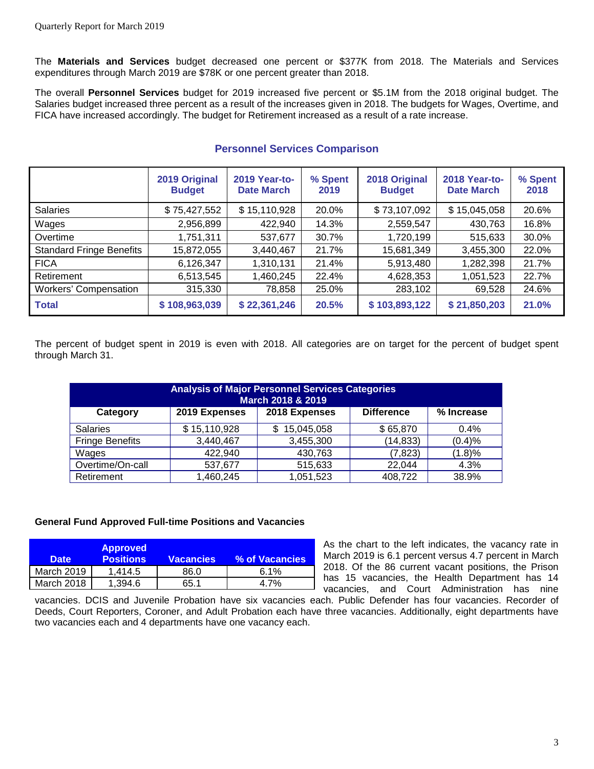The **Materials and Services** budget decreased one percent or \$377K from 2018. The Materials and Services expenditures through March 2019 are \$78K or one percent greater than 2018.

The overall **Personnel Services** budget for 2019 increased five percent or \$5.1M from the 2018 original budget. The Salaries budget increased three percent as a result of the increases given in 2018. The budgets for Wages, Overtime, and FICA have increased accordingly. The budget for Retirement increased as a result of a rate increase.

|                                 | 2019 Original<br><b>Budget</b> | <b>2019 Year-to-</b><br><b>Date March</b> | % Spent<br>2019 | 2018 Original<br><b>Budget</b> | <b>2018 Year-to-</b><br><b>Date March</b> | % Spent<br>2018 |
|---------------------------------|--------------------------------|-------------------------------------------|-----------------|--------------------------------|-------------------------------------------|-----------------|
| <b>Salaries</b>                 | \$75,427,552                   | \$15,110,928                              | 20.0%           | \$73,107,092                   | \$15,045,058                              | 20.6%           |
| Wages                           | 2,956,899                      | 422,940                                   | 14.3%           | 2,559,547                      | 430,763                                   | 16.8%           |
| Overtime                        | 1,751,311                      | 537,677                                   | 30.7%           | 1,720,199                      | 515,633                                   | 30.0%           |
| <b>Standard Fringe Benefits</b> | 15,872,055                     | 3,440,467                                 | 21.7%           | 15,681,349                     | 3,455,300                                 | 22.0%           |
| <b>FICA</b>                     | 6,126,347                      | 1,310,131                                 | 21.4%           | 5,913,480                      | 1,282,398                                 | 21.7%           |
| Retirement                      | 6,513,545                      | 1,460,245                                 | 22.4%           | 4,628,353                      | 1,051,523                                 | 22.7%           |
| <b>Workers' Compensation</b>    | 315,330                        | 78,858                                    | 25.0%           | 283,102                        | 69,528                                    | 24.6%           |
| <b>Total</b>                    | \$108,963,039                  | \$22,361,246                              | 20.5%           | \$103,893,122                  | \$21,850,203                              | 21.0%           |

# **Personnel Services Comparison**

The percent of budget spent in 2019 is even with 2018. All categories are on target for the percent of budget spent through March 31.

| <b>Analysis of Major Personnel Services Categories</b><br>March 2018 & 2019 |               |                 |                   |            |  |
|-----------------------------------------------------------------------------|---------------|-----------------|-------------------|------------|--|
| Category                                                                    | 2019 Expenses | 2018 Expenses   | <b>Difference</b> | % Increase |  |
| <b>Salaries</b>                                                             | \$15,110,928  | 15,045,058<br>S | \$65,870          | 0.4%       |  |
| <b>Fringe Benefits</b>                                                      | 3,440,467     | 3,455,300       | (14, 833)         | (0.4)%     |  |
| Wages                                                                       | 422,940       | 430,763         | (7, 823)          | (1.8)%     |  |
| Overtime/On-call                                                            | 537,677       | 515,633         | 22,044            | 4.3%       |  |
| Retirement                                                                  | 1,460,245     | 1,051,523       | 408,722           | 38.9%      |  |

## **General Fund Approved Full-time Positions and Vacancies**

| <b>Date</b> | <b>Approved</b><br><b>Positions</b> | <b>Vacancies</b> | % of Vacancies |
|-------------|-------------------------------------|------------------|----------------|
| March 2019  | 1.414.5                             | 86.0             | $6.1\%$        |
| March 2018  | 1.394.6                             | 65.1             | 4 7%           |

As the chart to the left indicates, the vacancy rate in March 2019 is 6.1 percent versus 4.7 percent in March 2018. Of the 86 current vacant positions, the Prison has 15 vacancies, the Health Department has 14 vacancies, and Court Administration has nine

vacancies. DCIS and Juvenile Probation have six vacancies each. Public Defender has four vacancies. Recorder of Deeds, Court Reporters, Coroner, and Adult Probation each have three vacancies. Additionally, eight departments have two vacancies each and 4 departments have one vacancy each.